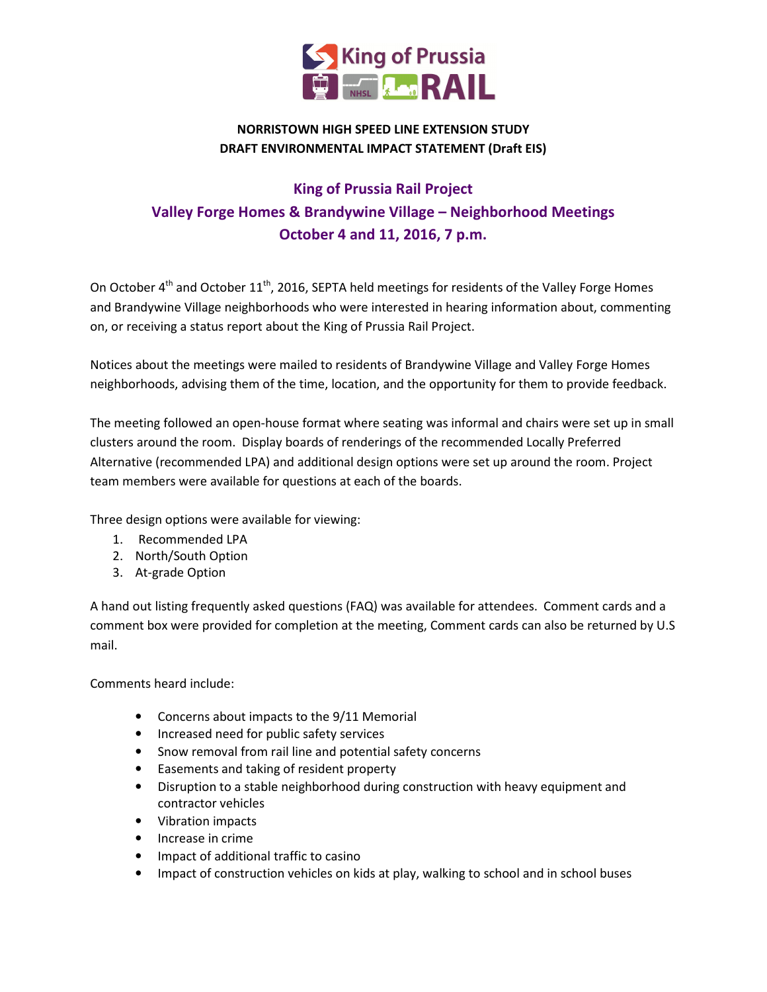

#### NORRISTOWN HIGH SPEED LINE EXTENSION STUDY DRAFT ENVIRONMENTAL IMPACT STATEMENT (Draft EIS)

#### King of Prussia Rail Project Valley Forge Homes & Brandywine Village – Neighborhood Meetings October 4 and 11, 2016, 7 p.m.

On October 4<sup>th</sup> and October 11<sup>th</sup>, 2016, SEPTA held meetings for residents of the Valley Forge Homes and Brandywine Village neighborhoods who were interested in hearing information about, commenting on, or receiving a status report about the King of Prussia Rail Project.

Notices about the meetings were mailed to residents of Brandywine Village and Valley Forge Homes neighborhoods, advising them of the time, location, and the opportunity for them to provide feedback.

The meeting followed an open-house format where seating was informal and chairs were set up in small clusters around the room. Display boards of renderings of the recommended Locally Preferred Alternative (recommended LPA) and additional design options were set up around the room. Project team members were available for questions at each of the boards.

Three design options were available for viewing:

- 1. Recommended LPA
- 2. North/South Option
- 3. At-grade Option

A hand out listing frequently asked questions (FAQ) was available for attendees. Comment cards and a comment box were provided for completion at the meeting, Comment cards can also be returned by U.S mail.

Comments heard include:

- Concerns about impacts to the 9/11 Memorial
- Increased need for public safety services
- Snow removal from rail line and potential safety concerns
- Easements and taking of resident property
- Disruption to a stable neighborhood during construction with heavy equipment and contractor vehicles
- Vibration impacts
- Increase in crime
- Impact of additional traffic to casino
- Impact of construction vehicles on kids at play, walking to school and in school buses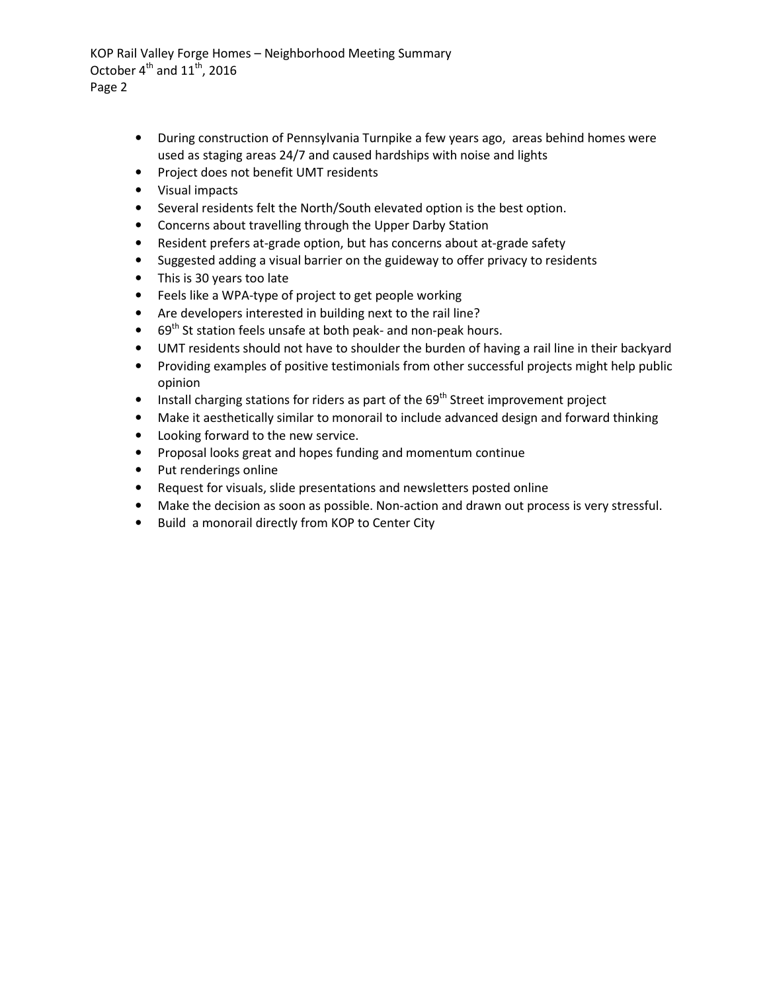KOP Rail Valley Forge Homes – Neighborhood Meeting Summary October  $4^{\text{th}}$  and  $11^{\text{th}}$ , 2016 Page 2

- During construction of Pennsylvania Turnpike a few years ago, areas behind homes were used as staging areas 24/7 and caused hardships with noise and lights
- Project does not benefit UMT residents
- Visual impacts
- Several residents felt the North/South elevated option is the best option.
- Concerns about travelling through the Upper Darby Station
- Resident prefers at-grade option, but has concerns about at-grade safety
- Suggested adding a visual barrier on the guideway to offer privacy to residents
- This is 30 years too late
- Feels like a WPA-type of project to get people working
- Are developers interested in building next to the rail line?
- $69<sup>th</sup>$  St station feels unsafe at both peak- and non-peak hours.
- UMT residents should not have to shoulder the burden of having a rail line in their backyard
- Providing examples of positive testimonials from other successful projects might help public opinion
- Install charging stations for riders as part of the  $69<sup>th</sup>$  Street improvement project
- Make it aesthetically similar to monorail to include advanced design and forward thinking
- Looking forward to the new service.
- Proposal looks great and hopes funding and momentum continue
- Put renderings online
- Request for visuals, slide presentations and newsletters posted online
- Make the decision as soon as possible. Non-action and drawn out process is very stressful.
- Build a monorail directly from KOP to Center City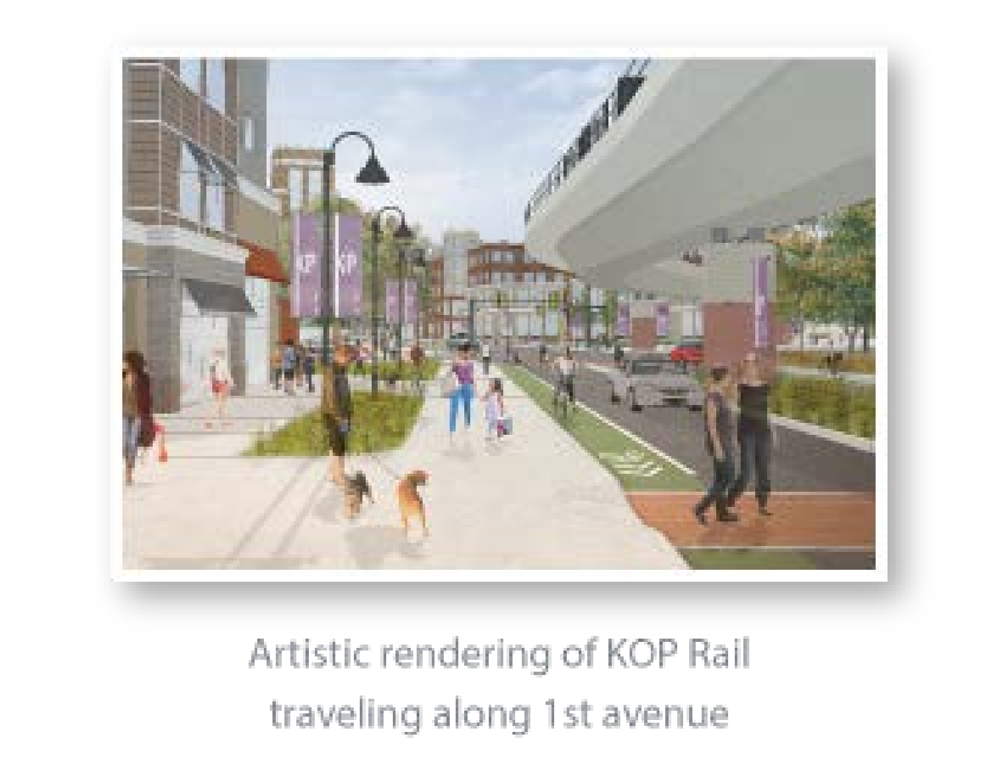

#### Artistic rendering of KOP Rail traveling along 1st avenue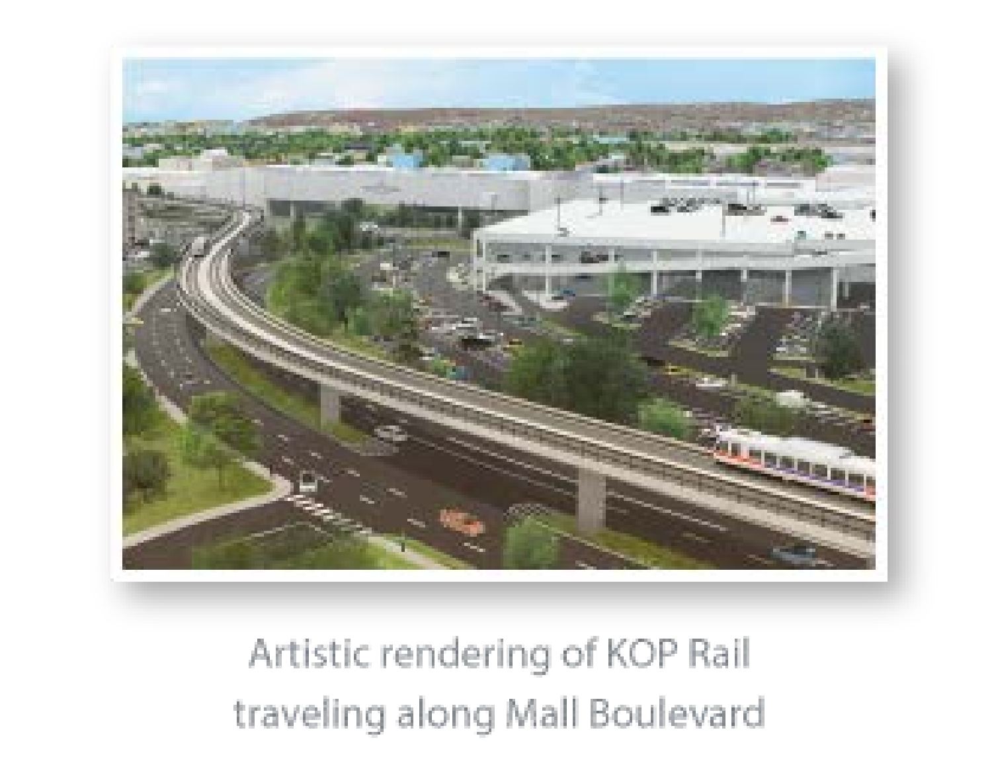

### Artistic rendering of KOP Rail traveling along Mall Boulevard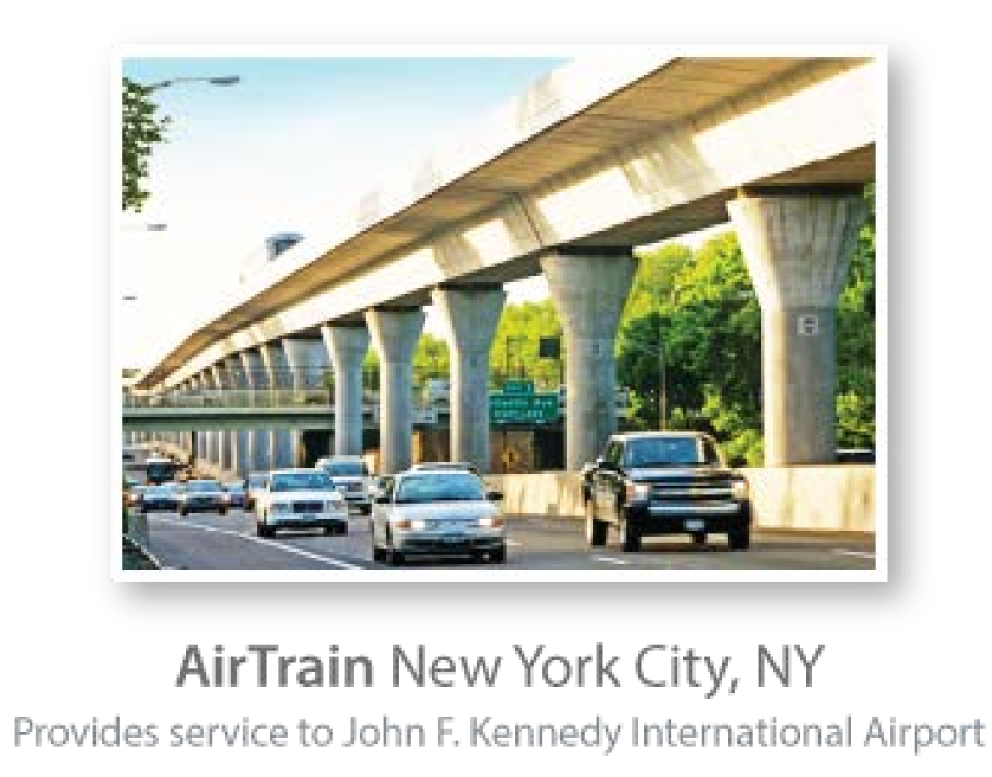

# AirTrain New York City, NY Provides service to John F. Kennedy International Airport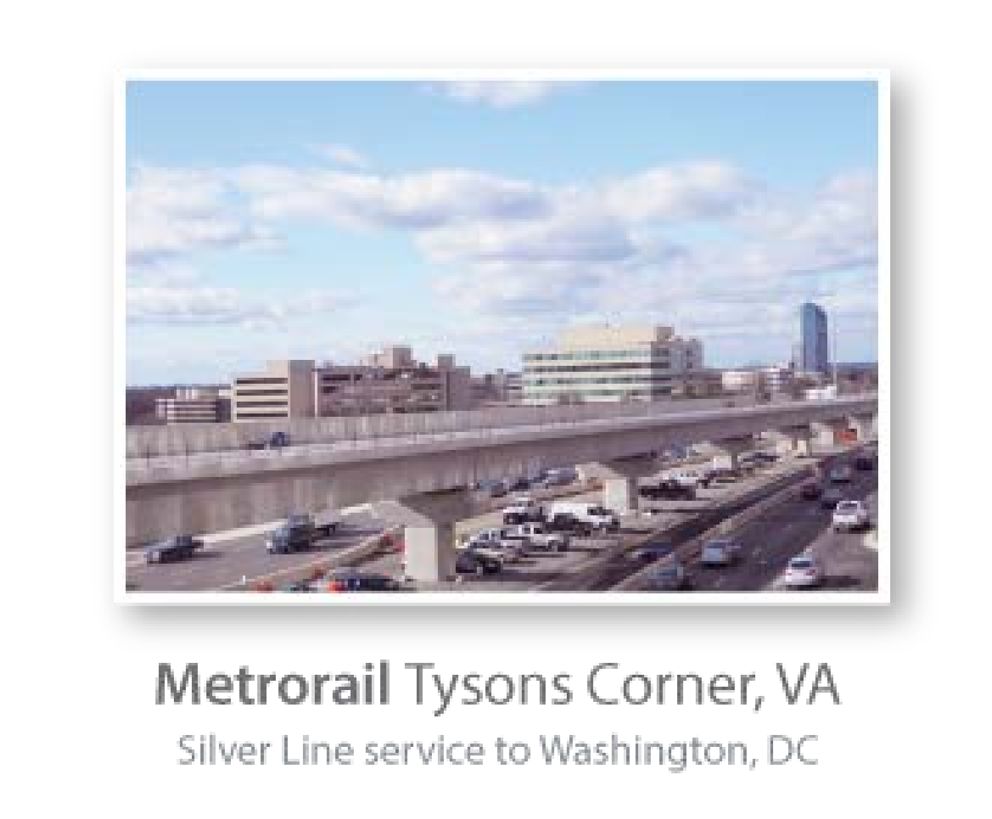

# Metrorail Tysons Corner, VA Silver Line service to Washington, DC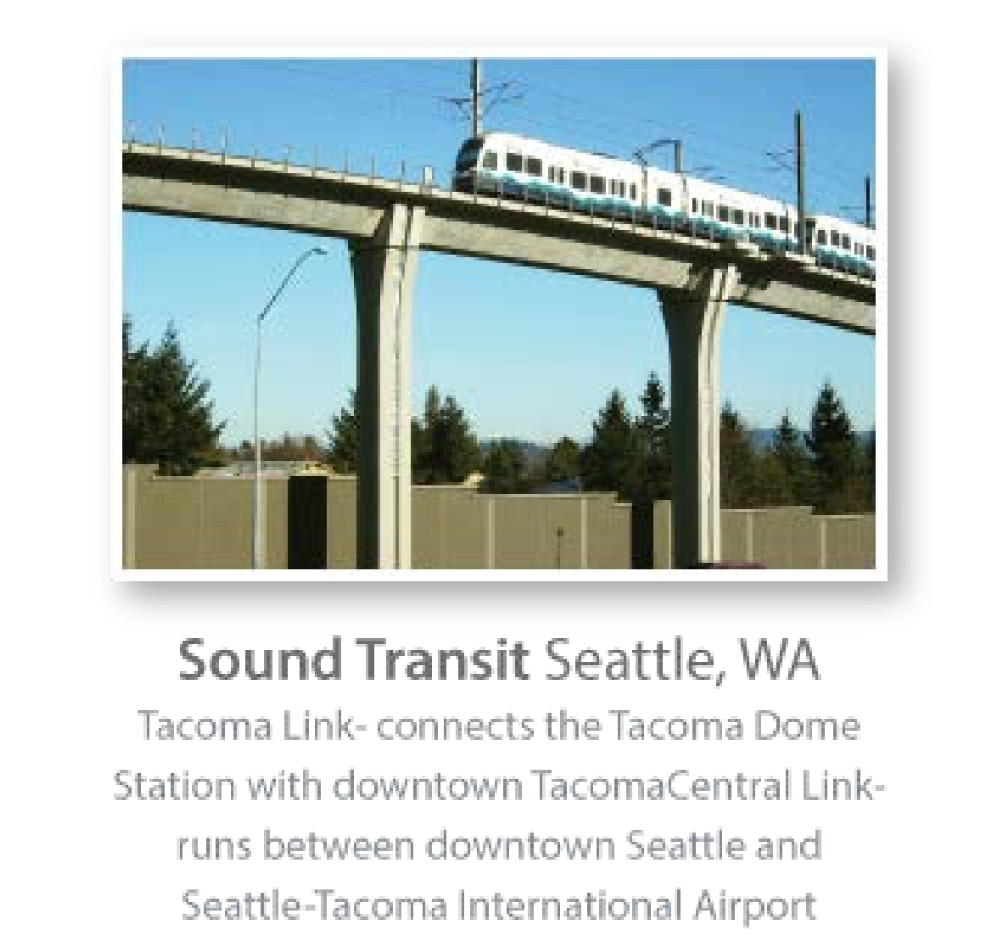

# Sound Transit Seattle, WA Tacoma Link-connects the Tacoma Dome Station with downtown TacomaCentral Linkruns between downtown Seattle and Seattle-Tacoma International Airport